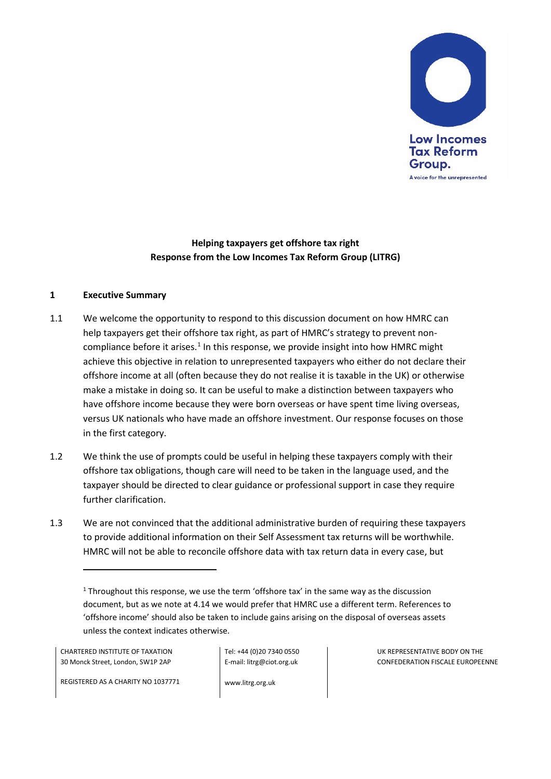

# **Helping taxpayers get offshore tax right Response from the Low Incomes Tax Reform Group (LITRG)**

#### **1 Executive Summary**

- 1.1 We welcome the opportunity to respond to this discussion document on how HMRC can help taxpayers get their offshore tax right, as part of HMRC's strategy to prevent non-compliance before it arises.<sup>[1](#page-0-0)</sup> In this response, we provide insight into how HMRC might achieve this objective in relation to unrepresented taxpayers who either do not declare their offshore income at all (often because they do not realise it is taxable in the UK) or otherwise make a mistake in doing so. It can be useful to make a distinction between taxpayers who have offshore income because they were born overseas or have spent time living overseas, versus UK nationals who have made an offshore investment. Our response focuses on those in the first category.
- 1.2 We think the use of prompts could be useful in helping these taxpayers comply with their offshore tax obligations, though care will need to be taken in the language used, and the taxpayer should be directed to clear guidance or professional support in case they require further clarification.
- 1.3 We are not convinced that the additional administrative burden of requiring these taxpayers to provide additional information on their Self Assessment tax returns will be worthwhile. HMRC will not be able to reconcile offshore data with tax return data in every case, but

CHARTERED INSTITUTE OF TAXATION 30 Monck Street, London, SW1P 2AP

l

Tel: +44 (0)20 7340 0550 E-mail: litrg@ciot.org.uk

www.litrg.org.uk

UK REPRESENTATIVE BODY ON THE CONFEDERATION FISCALE EUROPEENNE

REGISTERED AS A CHARITY NO 1037771

<span id="page-0-0"></span><sup>&</sup>lt;sup>1</sup> Throughout this response, we use the term 'offshore tax' in the same way as the discussion document, but as we note at 4.14 we would prefer that HMRC use a different term. References to 'offshore income' should also be taken to include gains arising on the disposal of overseas assets unless the context indicates otherwise.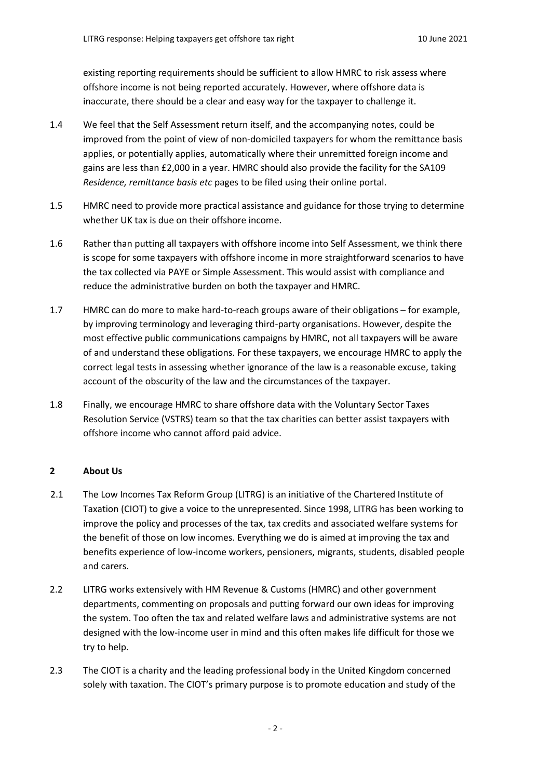existing reporting requirements should be sufficient to allow HMRC to risk assess where offshore income is not being reported accurately. However, where offshore data is inaccurate, there should be a clear and easy way for the taxpayer to challenge it.

- 1.4 We feel that the Self Assessment return itself, and the accompanying notes, could be improved from the point of view of non-domiciled taxpayers for whom the remittance basis applies, or potentially applies, automatically where their unremitted foreign income and gains are less than £2,000 in a year. HMRC should also provide the facility for the SA109 *Residence, remittance basis etc* pages to be filed using their online portal.
- 1.5 HMRC need to provide more practical assistance and guidance for those trying to determine whether UK tax is due on their offshore income.
- 1.6 Rather than putting all taxpayers with offshore income into Self Assessment, we think there is scope for some taxpayers with offshore income in more straightforward scenarios to have the tax collected via PAYE or Simple Assessment. This would assist with compliance and reduce the administrative burden on both the taxpayer and HMRC.
- 1.7 HMRC can do more to make hard-to-reach groups aware of their obligations for example, by improving terminology and leveraging third-party organisations. However, despite the most effective public communications campaigns by HMRC, not all taxpayers will be aware of and understand these obligations. For these taxpayers, we encourage HMRC to apply the correct legal tests in assessing whether ignorance of the law is a reasonable excuse, taking account of the obscurity of the law and the circumstances of the taxpayer.
- 1.8 Finally, we encourage HMRC to share offshore data with the Voluntary Sector Taxes Resolution Service (VSTRS) team so that the tax charities can better assist taxpayers with offshore income who cannot afford paid advice.

#### **2 About Us**

- 2.1 The Low Incomes Tax Reform Group (LITRG) is an initiative of the Chartered Institute of Taxation (CIOT) to give a voice to the unrepresented. Since 1998, LITRG has been working to improve the policy and processes of the tax, tax credits and associated welfare systems for the benefit of those on low incomes. Everything we do is aimed at improving the tax and benefits experience of low-income workers, pensioners, migrants, students, disabled people and carers.
- 2.2 LITRG works extensively with HM Revenue & Customs (HMRC) and other government departments, commenting on proposals and putting forward our own ideas for improving the system. Too often the tax and related welfare laws and administrative systems are not designed with the low-income user in mind and this often makes life difficult for those we try to help.
- 2.3 The CIOT is a charity and the leading professional body in the United Kingdom concerned solely with taxation. The CIOT's primary purpose is to promote education and study of the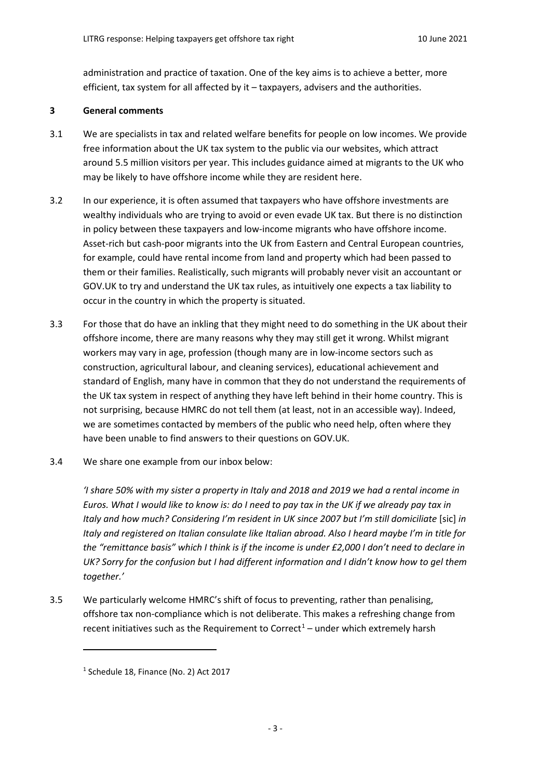administration and practice of taxation. One of the key aims is to achieve a better, more efficient, tax system for all affected by it – taxpayers, advisers and the authorities.

#### **3 General comments**

- 3.1 We are specialists in tax and related welfare benefits for people on low incomes. We provide free information about the UK tax system to the public via our websites, which attract around 5.5 million visitors per year. This includes guidance aimed at migrants to the UK who may be likely to have offshore income while they are resident here.
- 3.2 In our experience, it is often assumed that taxpayers who have offshore investments are wealthy individuals who are trying to avoid or even evade UK tax. But there is no distinction in policy between these taxpayers and low-income migrants who have offshore income. Asset-rich but cash-poor migrants into the UK from Eastern and Central European countries, for example, could have rental income from land and property which had been passed to them or their families. Realistically, such migrants will probably never visit an accountant or GOV.UK to try and understand the UK tax rules, as intuitively one expects a tax liability to occur in the country in which the property is situated.
- 3.3 For those that do have an inkling that they might need to do something in the UK about their offshore income, there are many reasons why they may still get it wrong. Whilst migrant workers may vary in age, profession (though many are in low-income sectors such as construction, agricultural labour, and cleaning services), educational achievement and standard of English, many have in common that they do not understand the requirements of the UK tax system in respect of anything they have left behind in their home country. This is not surprising, because HMRC do not tell them (at least, not in an accessible way). Indeed, we are sometimes contacted by members of the public who need help, often where they have been unable to find answers to their questions on GOV.UK.
- 3.4 We share one example from our inbox below:

*'I share 50% with my sister a property in Italy and 2018 and 2019 we had a rental income in Euros. What I would like to know is: do I need to pay tax in the UK if we already pay tax in Italy and how much? Considering I'm resident in UK since 2007 but I'm still domiciliate* [sic] *in Italy and registered on Italian consulate like Italian abroad. Also I heard maybe I'm in title for the "remittance basis" which I think is if the income is under £2,000 I don't need to declare in UK? Sorry for the confusion but I had different information and I didn't know how to gel them together.'*

3.5 We particularly welcome HMRC's shift of focus to preventing, rather than penalising, offshore tax non-compliance which is not deliberate. This makes a refreshing change from recent initiatives such as the Requirement to Correct<sup>[1](#page-2-0)</sup> – under which extremely harsh

<span id="page-2-0"></span><sup>1</sup> Schedule 18, Finance (No. 2) Act 2017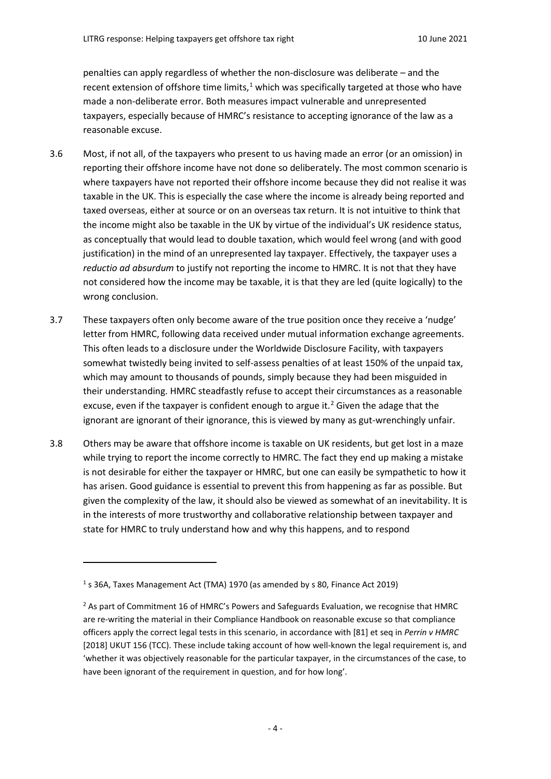penalties can apply regardless of whether the non-disclosure was deliberate – and the recent extension of offshore time limits, $1$  which was specifically targeted at those who have made a non-deliberate error. Both measures impact vulnerable and unrepresented taxpayers, especially because of HMRC's resistance to accepting ignorance of the law as a reasonable excuse.

- 3.6 Most, if not all, of the taxpayers who present to us having made an error (or an omission) in reporting their offshore income have not done so deliberately. The most common scenario is where taxpayers have not reported their offshore income because they did not realise it was taxable in the UK. This is especially the case where the income is already being reported and taxed overseas, either at source or on an overseas tax return. It is not intuitive to think that the income might also be taxable in the UK by virtue of the individual's UK residence status, as conceptually that would lead to double taxation, which would feel wrong (and with good justification) in the mind of an unrepresented lay taxpayer. Effectively, the taxpayer uses a *reductio ad absurdum* to justify not reporting the income to HMRC. It is not that they have not considered how the income may be taxable, it is that they are led (quite logically) to the wrong conclusion.
- 3.7 These taxpayers often only become aware of the true position once they receive a 'nudge' letter from HMRC, following data received under mutual information exchange agreements. This often leads to a disclosure under the Worldwide Disclosure Facility, with taxpayers somewhat twistedly being invited to self-assess penalties of at least 150% of the unpaid tax, which may amount to thousands of pounds, simply because they had been misguided in their understanding. HMRC steadfastly refuse to accept their circumstances as a reasonable excuse, even if the taxpayer is confident enough to argue it.<sup>[2](#page-3-1)</sup> Given the adage that the ignorant are ignorant of their ignorance, this is viewed by many as gut-wrenchingly unfair.
- 3.8 Others may be aware that offshore income is taxable on UK residents, but get lost in a maze while trying to report the income correctly to HMRC. The fact they end up making a mistake is not desirable for either the taxpayer or HMRC, but one can easily be sympathetic to how it has arisen. Good guidance is essential to prevent this from happening as far as possible. But given the complexity of the law, it should also be viewed as somewhat of an inevitability. It is in the interests of more trustworthy and collaborative relationship between taxpayer and state for HMRC to truly understand how and why this happens, and to respond

<span id="page-3-0"></span><sup>&</sup>lt;sup>1</sup> s 36A, Taxes Management Act (TMA) 1970 (as amended by s 80, Finance Act 2019)

<span id="page-3-1"></span><sup>&</sup>lt;sup>2</sup> As part of Commitment 16 of HMRC's Powers and Safeguards Evaluation, we recognise that HMRC are re-writing the material in their Compliance Handbook on reasonable excuse so that compliance officers apply the correct legal tests in this scenario, in accordance with [81] et seq in *Perrin v HMRC*  [2018] UKUT 156 (TCC). These include taking account of how well-known the legal requirement is, and 'whether it was objectively reasonable for the particular taxpayer, in the circumstances of the case, to have been ignorant of the requirement in question, and for how long'.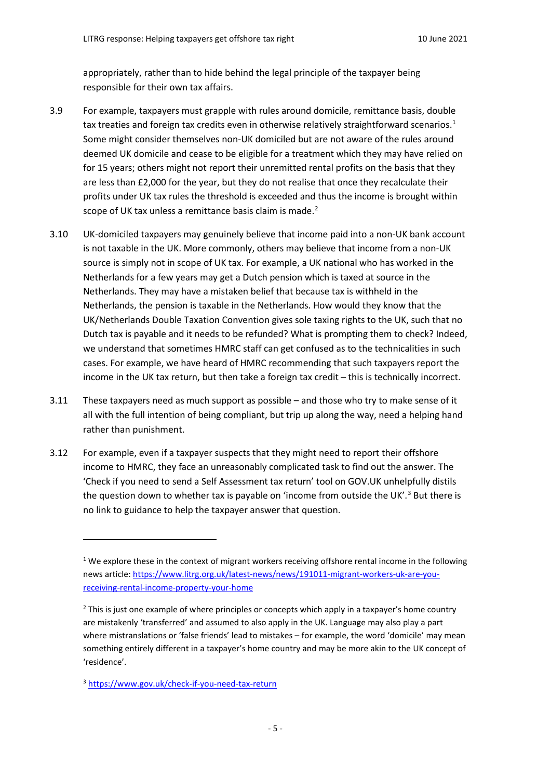appropriately, rather than to hide behind the legal principle of the taxpayer being responsible for their own tax affairs.

- 3.9 For example, taxpayers must grapple with rules around domicile, remittance basis, double tax treaties and foreign tax credits even in otherwise relatively straightforward scenarios.<sup>[1](#page-4-0)</sup> Some might consider themselves non-UK domiciled but are not aware of the rules around deemed UK domicile and cease to be eligible for a treatment which they may have relied on for 15 years; others might not report their unremitted rental profits on the basis that they are less than £2,000 for the year, but they do not realise that once they recalculate their profits under UK tax rules the threshold is exceeded and thus the income is brought within scope of UK tax unless a remittance basis claim is made.<sup>[2](#page-4-1)</sup>
- 3.10 UK-domiciled taxpayers may genuinely believe that income paid into a non-UK bank account is not taxable in the UK. More commonly, others may believe that income from a non-UK source is simply not in scope of UK tax. For example, a UK national who has worked in the Netherlands for a few years may get a Dutch pension which is taxed at source in the Netherlands. They may have a mistaken belief that because tax is withheld in the Netherlands, the pension is taxable in the Netherlands. How would they know that the UK/Netherlands Double Taxation Convention gives sole taxing rights to the UK, such that no Dutch tax is payable and it needs to be refunded? What is prompting them to check? Indeed, we understand that sometimes HMRC staff can get confused as to the technicalities in such cases. For example, we have heard of HMRC recommending that such taxpayers report the income in the UK tax return, but then take a foreign tax credit – this is technically incorrect.
- 3.11 These taxpayers need as much support as possible and those who try to make sense of it all with the full intention of being compliant, but trip up along the way, need a helping hand rather than punishment.
- 3.12 For example, even if a taxpayer suspects that they might need to report their offshore income to HMRC, they face an unreasonably complicated task to find out the answer. The 'Check if you need to send a Self Assessment tax return' tool on GOV.UK unhelpfully distils the question down to whether tax is payable on 'income from outside the UK'.<sup>[3](#page-4-2)</sup> But there is no link to guidance to help the taxpayer answer that question.

<span id="page-4-0"></span> $1$  We explore these in the context of migrant workers receiving offshore rental income in the following news article: [https://www.litrg.org.uk/latest-news/news/191011-migrant-workers-uk-are-you](https://www.litrg.org.uk/latest-news/news/191011-migrant-workers-uk-are-you-receiving-rental-income-property-your-home)[receiving-rental-income-property-your-home](https://www.litrg.org.uk/latest-news/news/191011-migrant-workers-uk-are-you-receiving-rental-income-property-your-home)

<span id="page-4-1"></span> $<sup>2</sup>$  This is just one example of where principles or concepts which apply in a taxpayer's home country</sup> are mistakenly 'transferred' and assumed to also apply in the UK. Language may also play a part where mistranslations or 'false friends' lead to mistakes – for example, the word 'domicile' may mean something entirely different in a taxpayer's home country and may be more akin to the UK concept of 'residence'.

<span id="page-4-2"></span><sup>3</sup> <https://www.gov.uk/check-if-you-need-tax-return>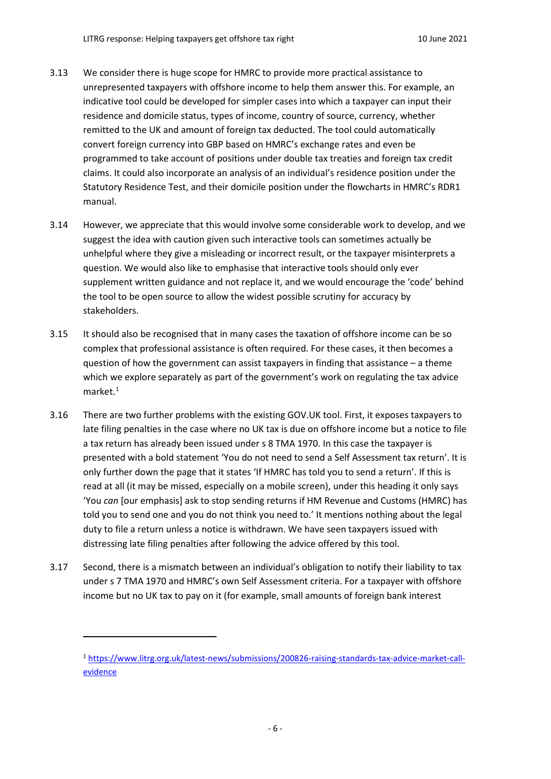- 3.13 We consider there is huge scope for HMRC to provide more practical assistance to unrepresented taxpayers with offshore income to help them answer this. For example, an indicative tool could be developed for simpler cases into which a taxpayer can input their residence and domicile status, types of income, country of source, currency, whether remitted to the UK and amount of foreign tax deducted. The tool could automatically convert foreign currency into GBP based on HMRC's exchange rates and even be programmed to take account of positions under double tax treaties and foreign tax credit claims. It could also incorporate an analysis of an individual's residence position under the Statutory Residence Test, and their domicile position under the flowcharts in HMRC's RDR1 manual.
- 3.14 However, we appreciate that this would involve some considerable work to develop, and we suggest the idea with caution given such interactive tools can sometimes actually be unhelpful where they give a misleading or incorrect result, or the taxpayer misinterprets a question. We would also like to emphasise that interactive tools should only ever supplement written guidance and not replace it, and we would encourage the 'code' behind the tool to be open source to allow the widest possible scrutiny for accuracy by stakeholders.
- 3.15 It should also be recognised that in many cases the taxation of offshore income can be so complex that professional assistance is often required. For these cases, it then becomes a question of how the government can assist taxpayers in finding that assistance – a theme which we explore separately as part of the government's work on regulating the tax advice market.[1](#page-5-0)
- 3.16 There are two further problems with the existing GOV.UK tool. First, it exposes taxpayers to late filing penalties in the case where no UK tax is due on offshore income but a notice to file a tax return has already been issued under s 8 TMA 1970. In this case the taxpayer is presented with a bold statement 'You do not need to send a Self Assessment tax return'. It is only further down the page that it states 'If HMRC has told you to send a return'. If this is read at all (it may be missed, especially on a mobile screen), under this heading it only says 'You *can* [our emphasis] ask to stop sending returns if HM Revenue and Customs (HMRC) has told you to send one and you do not think you need to.' It mentions nothing about the legal duty to file a return unless a notice is withdrawn. We have seen taxpayers issued with distressing late filing penalties after following the advice offered by this tool.
- 3.17 Second, there is a mismatch between an individual's obligation to notify their liability to tax under s 7 TMA 1970 and HMRC's own Self Assessment criteria. For a taxpayer with offshore income but no UK tax to pay on it (for example, small amounts of foreign bank interest

l

<span id="page-5-0"></span><sup>1</sup> [https://www.litrg.org.uk/latest-news/submissions/200826-raising-standards-tax-advice-market-call](https://www.litrg.org.uk/latest-news/submissions/200826-raising-standards-tax-advice-market-call-evidence)[evidence](https://www.litrg.org.uk/latest-news/submissions/200826-raising-standards-tax-advice-market-call-evidence)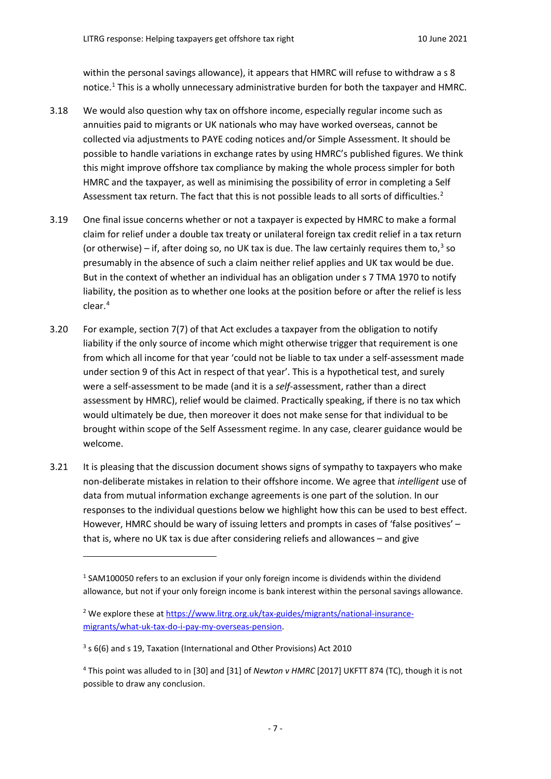within the personal savings allowance), it appears that HMRC will refuse to withdraw a s 8 notice.[1](#page-6-0) This is a wholly unnecessary administrative burden for both the taxpayer and HMRC.

- 3.18 We would also question why tax on offshore income, especially regular income such as annuities paid to migrants or UK nationals who may have worked overseas, cannot be collected via adjustments to PAYE coding notices and/or Simple Assessment. It should be possible to handle variations in exchange rates by using HMRC's published figures. We think this might improve offshore tax compliance by making the whole process simpler for both HMRC and the taxpayer, as well as minimising the possibility of error in completing a Self Assessment tax return. The fact that this is not possible leads to all sorts of difficulties.<sup>[2](#page-6-1)</sup>
- 3.19 One final issue concerns whether or not a taxpayer is expected by HMRC to make a formal claim for relief under a double tax treaty or unilateral foreign tax credit relief in a tax return (or otherwise) – if, after doing so, no UK tax is due. The law certainly requires them to,<sup>[3](#page-6-2)</sup> so presumably in the absence of such a claim neither relief applies and UK tax would be due. But in the context of whether an individual has an obligation under s 7 TMA 1970 to notify liability, the position as to whether one looks at the position before or after the relief is less clear.[4](#page-6-3)
- 3.20 For example, section 7(7) of that Act excludes a taxpayer from the obligation to notify liability if the only source of income which might otherwise trigger that requirement is one from which all income for that year 'could not be liable to tax under a self-assessment made under section 9 of this Act in respect of that year'. This is a hypothetical test, and surely were a self-assessment to be made (and it is a *self*-assessment, rather than a direct assessment by HMRC), relief would be claimed. Practically speaking, if there is no tax which would ultimately be due, then moreover it does not make sense for that individual to be brought within scope of the Self Assessment regime. In any case, clearer guidance would be welcome.
- 3.21 It is pleasing that the discussion document shows signs of sympathy to taxpayers who make non-deliberate mistakes in relation to their offshore income. We agree that *intelligent* use of data from mutual information exchange agreements is one part of the solution. In our responses to the individual questions below we highlight how this can be used to best effect. However, HMRC should be wary of issuing letters and prompts in cases of 'false positives' – that is, where no UK tax is due after considering reliefs and allowances – and give

<span id="page-6-0"></span><sup>&</sup>lt;sup>1</sup> SAM100050 refers to an exclusion if your only foreign income is dividends within the dividend allowance, but not if your only foreign income is bank interest within the personal savings allowance.

<span id="page-6-1"></span><sup>&</sup>lt;sup>2</sup> We explore these a[t https://www.litrg.org.uk/tax-guides/migrants/national-insurance](https://www.litrg.org.uk/tax-guides/migrants/national-insurance-migrants/what-uk-tax-do-i-pay-my-overseas-pension)[migrants/what-uk-tax-do-i-pay-my-overseas-pension.](https://www.litrg.org.uk/tax-guides/migrants/national-insurance-migrants/what-uk-tax-do-i-pay-my-overseas-pension)

<span id="page-6-2"></span><sup>3</sup> s 6(6) and s 19, Taxation (International and Other Provisions) Act 2010

<span id="page-6-3"></span><sup>4</sup> This point was alluded to in [30] and [31] of *Newton v HMRC* [2017] UKFTT 874 (TC), though it is not possible to draw any conclusion.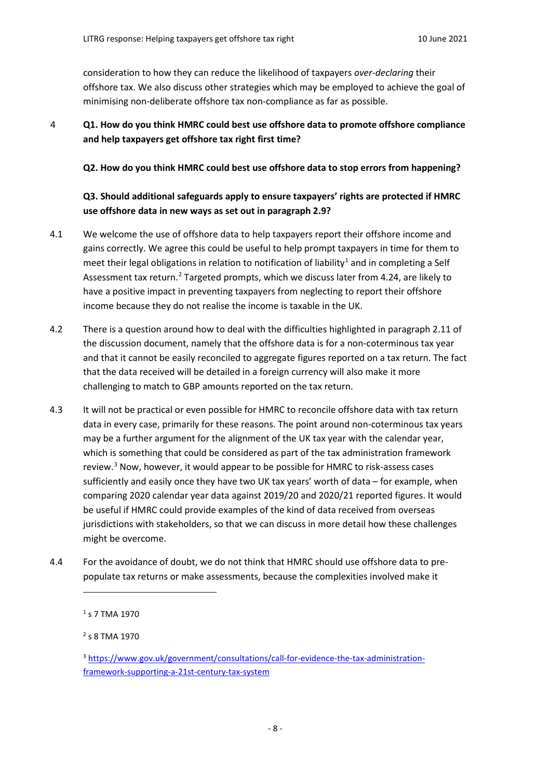consideration to how they can reduce the likelihood of taxpayers *over-declaring* their offshore tax. We also discuss other strategies which may be employed to achieve the goal of minimising non-deliberate offshore tax non-compliance as far as possible.

# 4 **Q1. How do you think HMRC could best use offshore data to promote offshore compliance and help taxpayers get offshore tax right first time?**

**Q2. How do you think HMRC could best use offshore data to stop errors from happening?**

# **Q3. Should additional safeguards apply to ensure taxpayers' rights are protected if HMRC use offshore data in new ways as set out in paragraph 2.9?**

- 4.1 We welcome the use of offshore data to help taxpayers report their offshore income and gains correctly. We agree this could be useful to help prompt taxpayers in time for them to meet their legal obligations in relation to notification of liability<sup>[1](#page-7-0)</sup> and in completing a Self Assessment tax return.<sup>[2](#page-7-1)</sup> Targeted prompts, which we discuss later from 4.24, are likely to have a positive impact in preventing taxpayers from neglecting to report their offshore income because they do not realise the income is taxable in the UK.
- 4.2 There is a question around how to deal with the difficulties highlighted in paragraph 2.11 of the discussion document, namely that the offshore data is for a non-coterminous tax year and that it cannot be easily reconciled to aggregate figures reported on a tax return. The fact that the data received will be detailed in a foreign currency will also make it more challenging to match to GBP amounts reported on the tax return.
- 4.3 It will not be practical or even possible for HMRC to reconcile offshore data with tax return data in every case, primarily for these reasons. The point around non-coterminous tax years may be a further argument for the alignment of the UK tax year with the calendar year, which is something that could be considered as part of the tax administration framework review.<sup>[3](#page-7-2)</sup> Now, however, it would appear to be possible for HMRC to risk-assess cases sufficiently and easily once they have two UK tax years' worth of data – for example, when comparing 2020 calendar year data against 2019/20 and 2020/21 reported figures. It would be useful if HMRC could provide examples of the kind of data received from overseas jurisdictions with stakeholders, so that we can discuss in more detail how these challenges might be overcome.
- <span id="page-7-0"></span>4.4 For the avoidance of doubt, we do not think that HMRC should use offshore data to prepopulate tax returns or make assessments, because the complexities involved make it

 $1$  s 7 TMA 1970

<span id="page-7-1"></span><sup>2</sup> s 8 TMA 1970

<span id="page-7-2"></span><sup>3</sup> [https://www.gov.uk/government/consultations/call-for-evidence-the-tax-administration](https://www.gov.uk/government/consultations/call-for-evidence-the-tax-administration-framework-supporting-a-21st-century-tax-system)[framework-supporting-a-21st-century-tax-system](https://www.gov.uk/government/consultations/call-for-evidence-the-tax-administration-framework-supporting-a-21st-century-tax-system)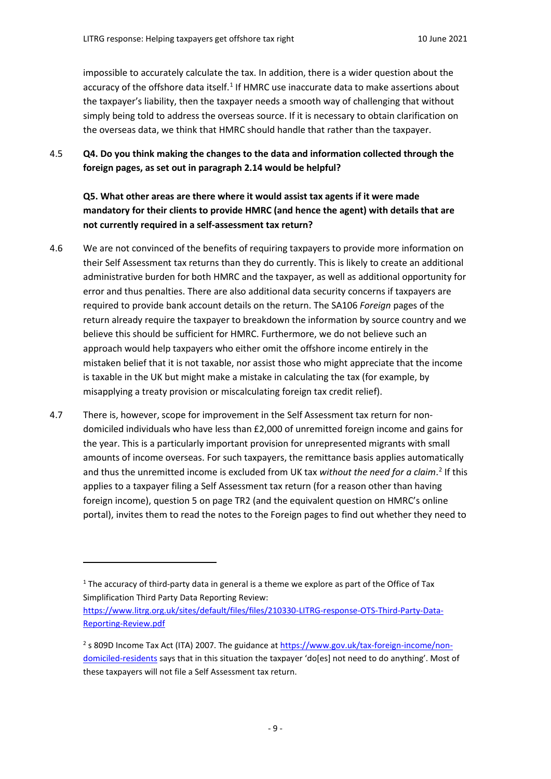impossible to accurately calculate the tax. In addition, there is a wider question about the accuracy of the offshore data itself.<sup>1</sup> If HMRC use inaccurate data to make assertions about the taxpayer's liability, then the taxpayer needs a smooth way of challenging that without simply being told to address the overseas source. If it is necessary to obtain clarification on the overseas data, we think that HMRC should handle that rather than the taxpayer.

4.5 **Q4. Do you think making the changes to the data and information collected through the foreign pages, as set out in paragraph 2.14 would be helpful?**

**Q5. What other areas are there where it would assist tax agents if it were made mandatory for their clients to provide HMRC (and hence the agent) with details that are not currently required in a self-assessment tax return?**

- 4.6 We are not convinced of the benefits of requiring taxpayers to provide more information on their Self Assessment tax returns than they do currently. This is likely to create an additional administrative burden for both HMRC and the taxpayer, as well as additional opportunity for error and thus penalties. There are also additional data security concerns if taxpayers are required to provide bank account details on the return. The SA106 *Foreign* pages of the return already require the taxpayer to breakdown the information by source country and we believe this should be sufficient for HMRC. Furthermore, we do not believe such an approach would help taxpayers who either omit the offshore income entirely in the mistaken belief that it is not taxable, nor assist those who might appreciate that the income is taxable in the UK but might make a mistake in calculating the tax (for example, by misapplying a treaty provision or miscalculating foreign tax credit relief).
- 4.7 There is, however, scope for improvement in the Self Assessment tax return for nondomiciled individuals who have less than £2,000 of unremitted foreign income and gains for the year. This is a particularly important provision for unrepresented migrants with small amounts of income overseas. For such taxpayers, the remittance basis applies automatically and thus the unremitted income is excluded from UK tax *without the need for a claim*. [2](#page-8-1) If this applies to a taxpayer filing a Self Assessment tax return (for a reason other than having foreign income), question 5 on page TR2 (and the equivalent question on HMRC's online portal), invites them to read the notes to the Foreign pages to find out whether they need to

<span id="page-8-0"></span> $1$  The accuracy of third-party data in general is a theme we explore as part of the Office of Tax Simplification Third Party Data Reporting Review:

[https://www.litrg.org.uk/sites/default/files/files/210330-LITRG-response-OTS-Third-Party-Data-](https://www.litrg.org.uk/sites/default/files/files/210330-LITRG-response-OTS-Third-Party-Data-Reporting-Review.pdf)[Reporting-Review.pdf](https://www.litrg.org.uk/sites/default/files/files/210330-LITRG-response-OTS-Third-Party-Data-Reporting-Review.pdf)

<span id="page-8-1"></span><sup>&</sup>lt;sup>2</sup> s 809D Income Tax Act (ITA) 2007. The guidance at [https://www.gov.uk/tax-foreign-income/non](https://www.gov.uk/tax-foreign-income/non-domiciled-residents)[domiciled-residents](https://www.gov.uk/tax-foreign-income/non-domiciled-residents) says that in this situation the taxpayer 'do[es] not need to do anything'. Most of these taxpayers will not file a Self Assessment tax return.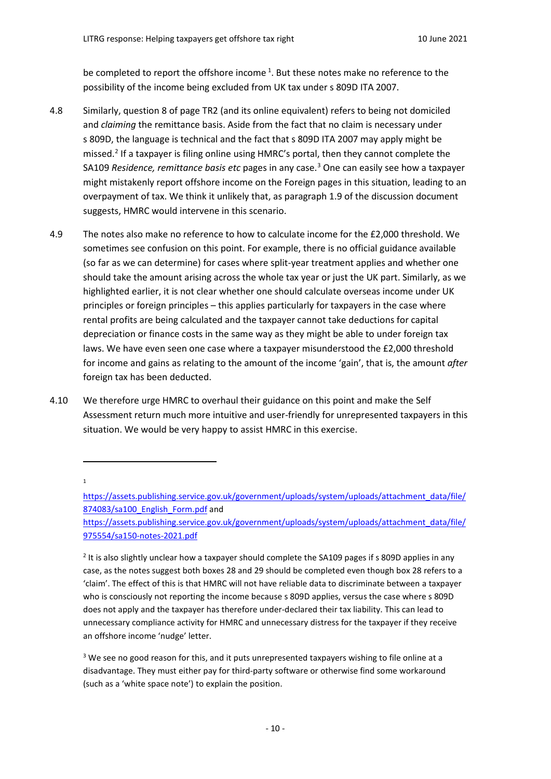be completed to report the offshore income<sup>[1](#page-9-0)</sup>. But these notes make no reference to the possibility of the income being excluded from UK tax under s 809D ITA 2007.

- 4.8 Similarly, question 8 of page TR2 (and its online equivalent) refers to being not domiciled and *claiming* the remittance basis. Aside from the fact that no claim is necessary under s 809D, the language is technical and the fact that s 809D ITA 2007 may apply might be missed.[2](#page-9-1) If a taxpayer is filing online using HMRC's portal, then they cannot complete the SA109 *Residence, remittance basis etc* pages in any case.[3](#page-9-2) One can easily see how a taxpayer might mistakenly report offshore income on the Foreign pages in this situation, leading to an overpayment of tax. We think it unlikely that, as paragraph 1.9 of the discussion document suggests, HMRC would intervene in this scenario.
- 4.9 The notes also make no reference to how to calculate income for the £2,000 threshold. We sometimes see confusion on this point. For example, there is no official guidance available (so far as we can determine) for cases where split-year treatment applies and whether one should take the amount arising across the whole tax year or just the UK part. Similarly, as we highlighted earlier, it is not clear whether one should calculate overseas income under UK principles or foreign principles – this applies particularly for taxpayers in the case where rental profits are being calculated and the taxpayer cannot take deductions for capital depreciation or finance costs in the same way as they might be able to under foreign tax laws. We have even seen one case where a taxpayer misunderstood the £2,000 threshold for income and gains as relating to the amount of the income 'gain', that is, the amount *after* foreign tax has been deducted.
- 4.10 We therefore urge HMRC to overhaul their guidance on this point and make the Self Assessment return much more intuitive and user-friendly for unrepresented taxpayers in this situation. We would be very happy to assist HMRC in this exercise.

1

 $\overline{a}$ 

<span id="page-9-1"></span> $2$  It is also slightly unclear how a taxpayer should complete the SA109 pages if s 809D applies in any case, as the notes suggest both boxes 28 and 29 should be completed even though box 28 refers to a 'claim'. The effect of this is that HMRC will not have reliable data to discriminate between a taxpayer who is consciously not reporting the income because s 809D applies, versus the case where s 809D does not apply and the taxpayer has therefore under-declared their tax liability. This can lead to unnecessary compliance activity for HMRC and unnecessary distress for the taxpayer if they receive an offshore income 'nudge' letter.

<span id="page-9-2"></span><sup>3</sup> We see no good reason for this, and it puts unrepresented taxpayers wishing to file online at a disadvantage. They must either pay for third-party software or otherwise find some workaround (such as a 'white space note') to explain the position.

<span id="page-9-0"></span>[https://assets.publishing.service.gov.uk/government/uploads/system/uploads/attachment\\_data/file/](https://assets.publishing.service.gov.uk/government/uploads/system/uploads/attachment_data/file/874083/sa100_English_Form.pdf) [874083/sa100\\_English\\_Form.pdf](https://assets.publishing.service.gov.uk/government/uploads/system/uploads/attachment_data/file/874083/sa100_English_Form.pdf) and

[https://assets.publishing.service.gov.uk/government/uploads/system/uploads/attachment\\_data/file/](https://assets.publishing.service.gov.uk/government/uploads/system/uploads/attachment_data/file/975554/sa150-notes-2021.pdf) [975554/sa150-notes-2021.pdf](https://assets.publishing.service.gov.uk/government/uploads/system/uploads/attachment_data/file/975554/sa150-notes-2021.pdf)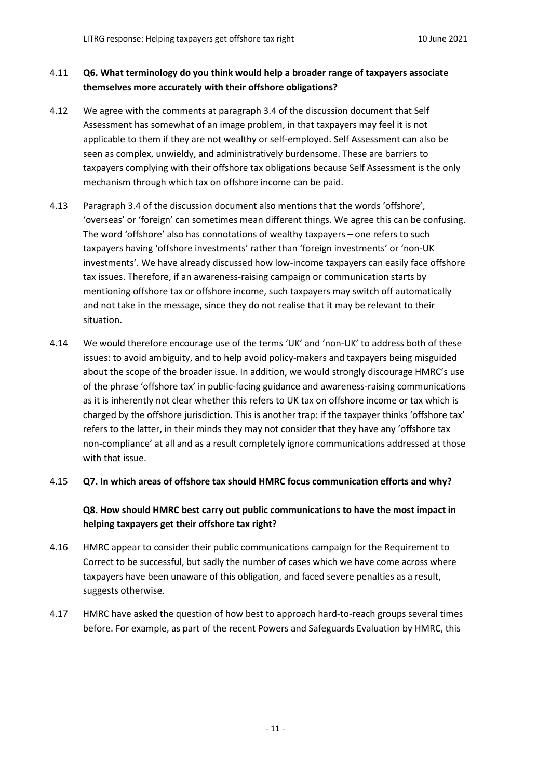## 4.11 **Q6. What terminology do you think would help a broader range of taxpayers associate themselves more accurately with their offshore obligations?**

- 4.12 We agree with the comments at paragraph 3.4 of the discussion document that Self Assessment has somewhat of an image problem, in that taxpayers may feel it is not applicable to them if they are not wealthy or self-employed. Self Assessment can also be seen as complex, unwieldy, and administratively burdensome. These are barriers to taxpayers complying with their offshore tax obligations because Self Assessment is the only mechanism through which tax on offshore income can be paid.
- 4.13 Paragraph 3.4 of the discussion document also mentions that the words 'offshore', 'overseas' or 'foreign' can sometimes mean different things. We agree this can be confusing. The word 'offshore' also has connotations of wealthy taxpayers – one refers to such taxpayers having 'offshore investments' rather than 'foreign investments' or 'non-UK investments'. We have already discussed how low-income taxpayers can easily face offshore tax issues. Therefore, if an awareness-raising campaign or communication starts by mentioning offshore tax or offshore income, such taxpayers may switch off automatically and not take in the message, since they do not realise that it may be relevant to their situation.
- 4.14 We would therefore encourage use of the terms 'UK' and 'non-UK' to address both of these issues: to avoid ambiguity, and to help avoid policy-makers and taxpayers being misguided about the scope of the broader issue. In addition, we would strongly discourage HMRC's use of the phrase 'offshore tax' in public-facing guidance and awareness-raising communications as it is inherently not clear whether this refers to UK tax on offshore income or tax which is charged by the offshore jurisdiction. This is another trap: if the taxpayer thinks 'offshore tax' refers to the latter, in their minds they may not consider that they have any 'offshore tax non-compliance' at all and as a result completely ignore communications addressed at those with that issue.

#### 4.15 **Q7. In which areas of offshore tax should HMRC focus communication efforts and why?**

## **Q8. How should HMRC best carry out public communications to have the most impact in helping taxpayers get their offshore tax right?**

- 4.16 HMRC appear to consider their public communications campaign for the Requirement to Correct to be successful, but sadly the number of cases which we have come across where taxpayers have been unaware of this obligation, and faced severe penalties as a result, suggests otherwise.
- 4.17 HMRC have asked the question of how best to approach hard-to-reach groups several times before. For example, as part of the recent Powers and Safeguards Evaluation by HMRC, this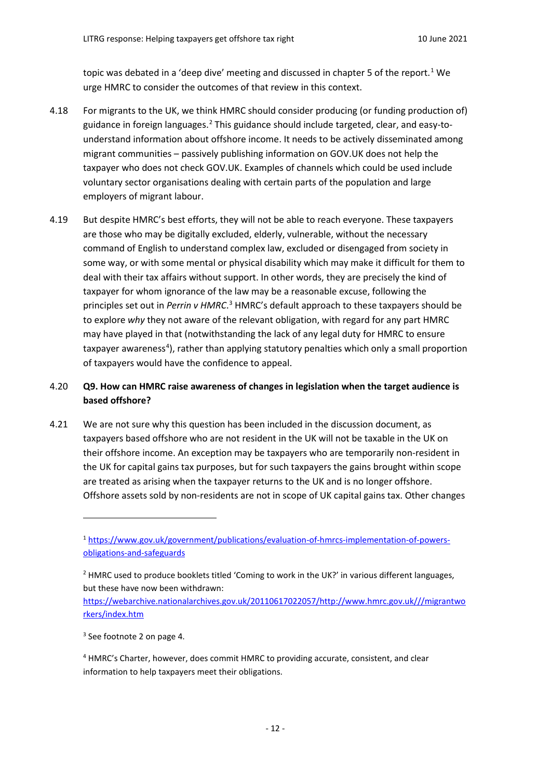topic was debated in a 'deep dive' meeting and discussed in chapter 5 of the report.<sup>[1](#page-11-0)</sup> We urge HMRC to consider the outcomes of that review in this context.

- 4.18 For migrants to the UK, we think HMRC should consider producing (or funding production of) guidance in foreign languages.<sup>[2](#page-11-1)</sup> This guidance should include targeted, clear, and easy-tounderstand information about offshore income. It needs to be actively disseminated among migrant communities – passively publishing information on GOV.UK does not help the taxpayer who does not check GOV.UK. Examples of channels which could be used include voluntary sector organisations dealing with certain parts of the population and large employers of migrant labour.
- 4.19 But despite HMRC's best efforts, they will not be able to reach everyone. These taxpayers are those who may be digitally excluded, elderly, vulnerable, without the necessary command of English to understand complex law, excluded or disengaged from society in some way, or with some mental or physical disability which may make it difficult for them to deal with their tax affairs without support. In other words, they are precisely the kind of taxpayer for whom ignorance of the law may be a reasonable excuse, following the principles set out in *Perrin v HMRC*.<sup>[3](#page-11-2)</sup> HMRC's default approach to these taxpayers should be to explore *why* they not aware of the relevant obligation, with regard for any part HMRC may have played in that (notwithstanding the lack of any legal duty for HMRC to ensure taxpayer awareness<sup>[4](#page-11-3)</sup>), rather than applying statutory penalties which only a small proportion of taxpayers would have the confidence to appeal.

### 4.20 **Q9. How can HMRC raise awareness of changes in legislation when the target audience is based offshore?**

4.21 We are not sure why this question has been included in the discussion document, as taxpayers based offshore who are not resident in the UK will not be taxable in the UK on their offshore income. An exception may be taxpayers who are temporarily non-resident in the UK for capital gains tax purposes, but for such taxpayers the gains brought within scope are treated as arising when the taxpayer returns to the UK and is no longer offshore. Offshore assets sold by non-residents are not in scope of UK capital gains tax. Other changes

<span id="page-11-0"></span><sup>1</sup> [https://www.gov.uk/government/publications/evaluation-of-hmrcs-implementation-of-powers](https://www.gov.uk/government/publications/evaluation-of-hmrcs-implementation-of-powers-obligations-and-safeguards)[obligations-and-safeguards](https://www.gov.uk/government/publications/evaluation-of-hmrcs-implementation-of-powers-obligations-and-safeguards)

<span id="page-11-1"></span> $<sup>2</sup>$  HMRC used to produce booklets titled 'Coming to work in the UK?' in various different languages,</sup> but these have now been withdrawn:

[https://webarchive.nationalarchives.gov.uk/20110617022057/http://www.hmrc.gov.uk///migrantwo](https://webarchive.nationalarchives.gov.uk/20110617022057/http:/www.hmrc.gov.uk/migrantworkers/index.htm) [rkers/index.htm](https://webarchive.nationalarchives.gov.uk/20110617022057/http:/www.hmrc.gov.uk/migrantworkers/index.htm)

<span id="page-11-2"></span><sup>3</sup> See footnote 2 on page 4.

<span id="page-11-3"></span><sup>4</sup> HMRC's Charter, however, does commit HMRC to providing accurate, consistent, and clear information to help taxpayers meet their obligations.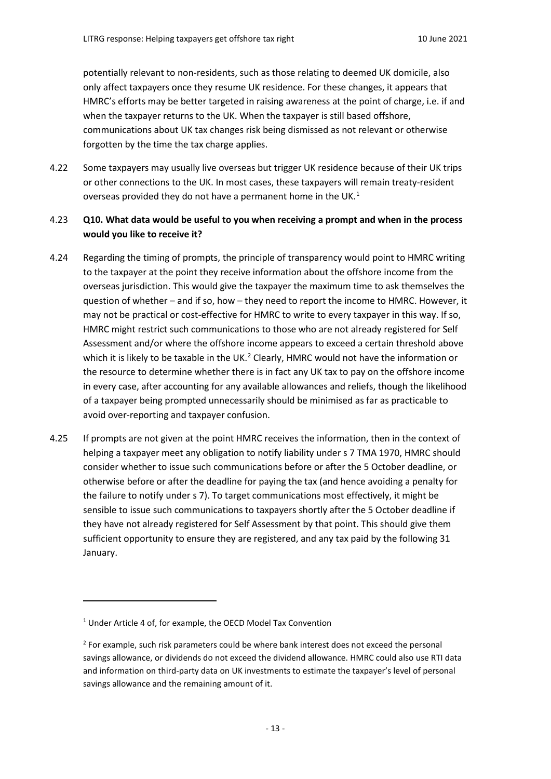potentially relevant to non-residents, such as those relating to deemed UK domicile, also only affect taxpayers once they resume UK residence. For these changes, it appears that HMRC's efforts may be better targeted in raising awareness at the point of charge, i.e. if and when the taxpayer returns to the UK. When the taxpayer is still based offshore, communications about UK tax changes risk being dismissed as not relevant or otherwise forgotten by the time the tax charge applies.

4.22 Some taxpayers may usually live overseas but trigger UK residence because of their UK trips or other connections to the UK. In most cases, these taxpayers will remain treaty-resident overseas provided they do not have a permanent home in the UK.<sup>[1](#page-12-0)</sup>

### 4.23 **Q10. What data would be useful to you when receiving a prompt and when in the process would you like to receive it?**

- 4.24 Regarding the timing of prompts, the principle of transparency would point to HMRC writing to the taxpayer at the point they receive information about the offshore income from the overseas jurisdiction. This would give the taxpayer the maximum time to ask themselves the question of whether – and if so, how – they need to report the income to HMRC. However, it may not be practical or cost-effective for HMRC to write to every taxpayer in this way. If so, HMRC might restrict such communications to those who are not already registered for Self Assessment and/or where the offshore income appears to exceed a certain threshold above which it is likely to be taxable in the UK.<sup>[2](#page-12-1)</sup> Clearly, HMRC would not have the information or the resource to determine whether there is in fact any UK tax to pay on the offshore income in every case, after accounting for any available allowances and reliefs, though the likelihood of a taxpayer being prompted unnecessarily should be minimised as far as practicable to avoid over-reporting and taxpayer confusion.
- 4.25 If prompts are not given at the point HMRC receives the information, then in the context of helping a taxpayer meet any obligation to notify liability under s 7 TMA 1970, HMRC should consider whether to issue such communications before or after the 5 October deadline, or otherwise before or after the deadline for paying the tax (and hence avoiding a penalty for the failure to notify under s 7). To target communications most effectively, it might be sensible to issue such communications to taxpayers shortly after the 5 October deadline if they have not already registered for Self Assessment by that point. This should give them sufficient opportunity to ensure they are registered, and any tax paid by the following 31 January.

l

<span id="page-12-0"></span><sup>&</sup>lt;sup>1</sup> Under Article 4 of, for example, the OECD Model Tax Convention

<span id="page-12-1"></span> $<sup>2</sup>$  For example, such risk parameters could be where bank interest does not exceed the personal</sup> savings allowance, or dividends do not exceed the dividend allowance. HMRC could also use RTI data and information on third-party data on UK investments to estimate the taxpayer's level of personal savings allowance and the remaining amount of it.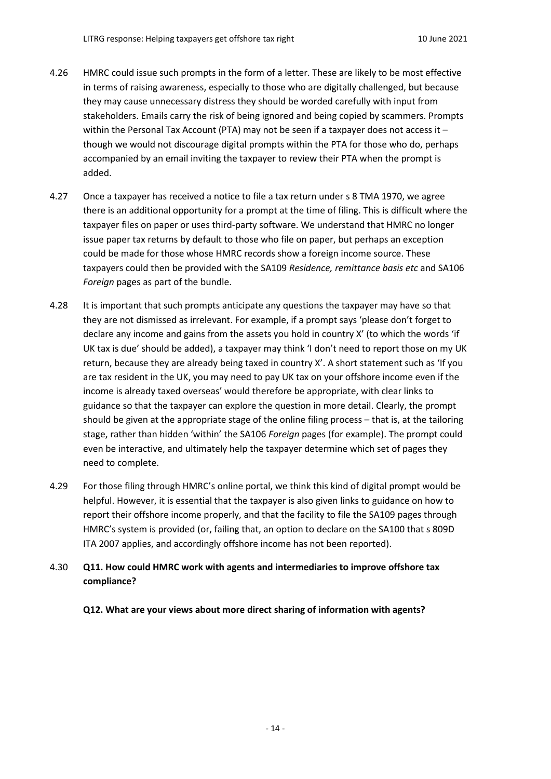- 4.26 HMRC could issue such prompts in the form of a letter. These are likely to be most effective in terms of raising awareness, especially to those who are digitally challenged, but because they may cause unnecessary distress they should be worded carefully with input from stakeholders. Emails carry the risk of being ignored and being copied by scammers. Prompts within the Personal Tax Account (PTA) may not be seen if a taxpayer does not access it though we would not discourage digital prompts within the PTA for those who do, perhaps accompanied by an email inviting the taxpayer to review their PTA when the prompt is added.
- 4.27 Once a taxpayer has received a notice to file a tax return under s 8 TMA 1970, we agree there is an additional opportunity for a prompt at the time of filing. This is difficult where the taxpayer files on paper or uses third-party software. We understand that HMRC no longer issue paper tax returns by default to those who file on paper, but perhaps an exception could be made for those whose HMRC records show a foreign income source. These taxpayers could then be provided with the SA109 *Residence, remittance basis etc* and SA106 *Foreign* pages as part of the bundle.
- 4.28 It is important that such prompts anticipate any questions the taxpayer may have so that they are not dismissed as irrelevant. For example, if a prompt says 'please don't forget to declare any income and gains from the assets you hold in country X' (to which the words 'if UK tax is due' should be added), a taxpayer may think 'I don't need to report those on my UK return, because they are already being taxed in country X'. A short statement such as 'If you are tax resident in the UK, you may need to pay UK tax on your offshore income even if the income is already taxed overseas' would therefore be appropriate, with clear links to guidance so that the taxpayer can explore the question in more detail. Clearly, the prompt should be given at the appropriate stage of the online filing process – that is, at the tailoring stage, rather than hidden 'within' the SA106 *Foreign* pages (for example). The prompt could even be interactive, and ultimately help the taxpayer determine which set of pages they need to complete.
- 4.29 For those filing through HMRC's online portal, we think this kind of digital prompt would be helpful. However, it is essential that the taxpayer is also given links to guidance on how to report their offshore income properly, and that the facility to file the SA109 pages through HMRC's system is provided (or, failing that, an option to declare on the SA100 that s 809D ITA 2007 applies, and accordingly offshore income has not been reported).

## 4.30 **Q11. How could HMRC work with agents and intermediaries to improve offshore tax compliance?**

**Q12. What are your views about more direct sharing of information with agents?**